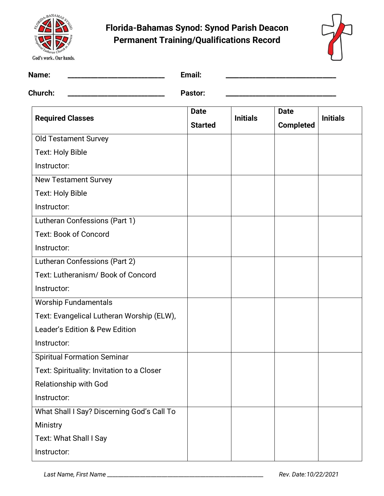



| Name:                                      | Email:                        |                 |                                 |                 |
|--------------------------------------------|-------------------------------|-----------------|---------------------------------|-----------------|
| <b>Church:</b>                             | Pastor:                       |                 |                                 |                 |
| <b>Required Classes</b>                    | <b>Date</b><br><b>Started</b> | <b>Initials</b> | <b>Date</b><br><b>Completed</b> | <b>Initials</b> |
| <b>Old Testament Survey</b>                |                               |                 |                                 |                 |
| Text: Holy Bible                           |                               |                 |                                 |                 |
| Instructor:                                |                               |                 |                                 |                 |
| <b>New Testament Survey</b>                |                               |                 |                                 |                 |
| Text: Holy Bible                           |                               |                 |                                 |                 |
| Instructor:                                |                               |                 |                                 |                 |
| Lutheran Confessions (Part 1)              |                               |                 |                                 |                 |
| <b>Text: Book of Concord</b>               |                               |                 |                                 |                 |
| Instructor:                                |                               |                 |                                 |                 |
| Lutheran Confessions (Part 2)              |                               |                 |                                 |                 |
| Text: Lutheranism/ Book of Concord         |                               |                 |                                 |                 |
| Instructor:                                |                               |                 |                                 |                 |
| <b>Worship Fundamentals</b>                |                               |                 |                                 |                 |
| Text: Evangelical Lutheran Worship (ELW),  |                               |                 |                                 |                 |
| Leader's Edition & Pew Edition             |                               |                 |                                 |                 |
| Instructor:                                |                               |                 |                                 |                 |
| <b>Spiritual Formation Seminar</b>         |                               |                 |                                 |                 |
| Text: Spirituality: Invitation to a Closer |                               |                 |                                 |                 |
| <b>Relationship with God</b>               |                               |                 |                                 |                 |
| Instructor:                                |                               |                 |                                 |                 |
| What Shall I Say? Discerning God's Call To |                               |                 |                                 |                 |
| Ministry                                   |                               |                 |                                 |                 |
| Text: What Shall I Say                     |                               |                 |                                 |                 |
| Instructor:                                |                               |                 |                                 |                 |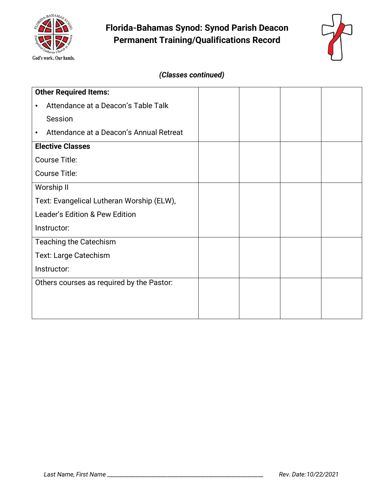



### *(Classes continued)*

| <b>Other Required Items:</b>                         |  |  |
|------------------------------------------------------|--|--|
| Attendance at a Deacon's Table Talk<br>$\bullet$     |  |  |
| Session                                              |  |  |
| Attendance at a Deacon's Annual Retreat<br>$\bullet$ |  |  |
| <b>Elective Classes</b>                              |  |  |
| Course Title:                                        |  |  |
| Course Title:                                        |  |  |
| Worship II                                           |  |  |
| Text: Evangelical Lutheran Worship (ELW),            |  |  |
| Leader's Edition & Pew Edition                       |  |  |
| Instructor:                                          |  |  |
| <b>Teaching the Catechism</b>                        |  |  |
| <b>Text: Large Catechism</b>                         |  |  |
| Instructor:                                          |  |  |
| Others courses as required by the Pastor:            |  |  |
|                                                      |  |  |
|                                                      |  |  |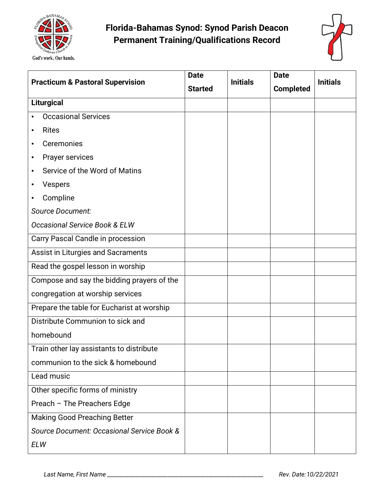



| <b>Practicum &amp; Pastoral Supervision</b> | <b>Date</b>    | <b>Initials</b> | <b>Date</b>      | <b>Initials</b> |
|---------------------------------------------|----------------|-----------------|------------------|-----------------|
|                                             | <b>Started</b> |                 | <b>Completed</b> |                 |
| Liturgical                                  |                |                 |                  |                 |
| <b>Occasional Services</b>                  |                |                 |                  |                 |
| <b>Rites</b><br>٠                           |                |                 |                  |                 |
| Ceremonies<br>٠                             |                |                 |                  |                 |
| Prayer services<br>$\bullet$                |                |                 |                  |                 |
| Service of the Word of Matins<br>٠          |                |                 |                  |                 |
| <b>Vespers</b><br>$\bullet$                 |                |                 |                  |                 |
| Compline<br>٠                               |                |                 |                  |                 |
| <b>Source Document:</b>                     |                |                 |                  |                 |
| Occasional Service Book & ELW               |                |                 |                  |                 |
| Carry Pascal Candle in procession           |                |                 |                  |                 |
| Assist in Liturgies and Sacraments          |                |                 |                  |                 |
| Read the gospel lesson in worship           |                |                 |                  |                 |
| Compose and say the bidding prayers of the  |                |                 |                  |                 |
| congregation at worship services            |                |                 |                  |                 |
| Prepare the table for Eucharist at worship  |                |                 |                  |                 |
| Distribute Communion to sick and            |                |                 |                  |                 |
| homebound                                   |                |                 |                  |                 |
| Train other lay assistants to distribute    |                |                 |                  |                 |
| communion to the sick & homebound           |                |                 |                  |                 |
| Lead music                                  |                |                 |                  |                 |
| Other specific forms of ministry            |                |                 |                  |                 |
| Preach - The Preachers Edge                 |                |                 |                  |                 |
| Making Good Preaching Better                |                |                 |                  |                 |
| Source Document: Occasional Service Book &  |                |                 |                  |                 |
| <b>ELW</b>                                  |                |                 |                  |                 |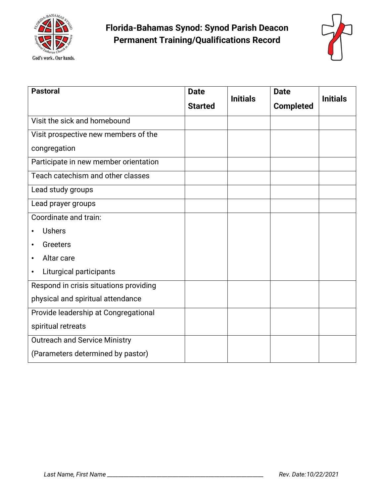



| <b>Pastoral</b>                        | <b>Date</b><br><b>Initials</b> | <b>Date</b>      | <b>Initials</b> |
|----------------------------------------|--------------------------------|------------------|-----------------|
|                                        | <b>Started</b>                 | <b>Completed</b> |                 |
| Visit the sick and homebound           |                                |                  |                 |
| Visit prospective new members of the   |                                |                  |                 |
| congregation                           |                                |                  |                 |
| Participate in new member orientation  |                                |                  |                 |
| Teach catechism and other classes      |                                |                  |                 |
| Lead study groups                      |                                |                  |                 |
| Lead prayer groups                     |                                |                  |                 |
| Coordinate and train:                  |                                |                  |                 |
| <b>Ushers</b>                          |                                |                  |                 |
| Greeters<br>$\bullet$                  |                                |                  |                 |
| Altar care<br>$\bullet$                |                                |                  |                 |
| Liturgical participants<br>٠           |                                |                  |                 |
| Respond in crisis situations providing |                                |                  |                 |
| physical and spiritual attendance      |                                |                  |                 |
| Provide leadership at Congregational   |                                |                  |                 |
| spiritual retreats                     |                                |                  |                 |
| <b>Outreach and Service Ministry</b>   |                                |                  |                 |
| (Parameters determined by pastor)      |                                |                  |                 |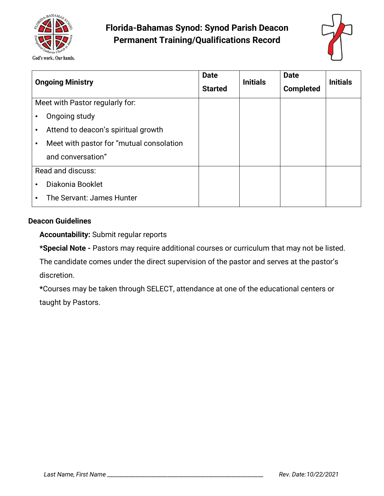



|                   | <b>Ongoing Ministry</b>                   | <b>Date</b><br><b>Started</b> | <b>Initials</b> | <b>Date</b><br><b>Completed</b> | <b>Initials</b> |
|-------------------|-------------------------------------------|-------------------------------|-----------------|---------------------------------|-----------------|
|                   | Meet with Pastor regularly for:           |                               |                 |                                 |                 |
| ٠                 | Ongoing study                             |                               |                 |                                 |                 |
| $\bullet$         | Attend to deacon's spiritual growth       |                               |                 |                                 |                 |
| ٠                 | Meet with pastor for "mutual consolation" |                               |                 |                                 |                 |
|                   | and conversation"                         |                               |                 |                                 |                 |
| Read and discuss: |                                           |                               |                 |                                 |                 |
| $\bullet$         | Diakonia Booklet                          |                               |                 |                                 |                 |
| ٠                 | The Servant: James Hunter                 |                               |                 |                                 |                 |

#### **Deacon Guidelines**

**Accountability:** Submit regular reports

**\*Special Note -** Pastors may require additional courses or curriculum that may not be listed.

The candidate comes under the direct supervision of the pastor and serves at the pastor's discretion.

**\***Courses may be taken through SELECT, attendance at one of the educational centers or taught by Pastors.